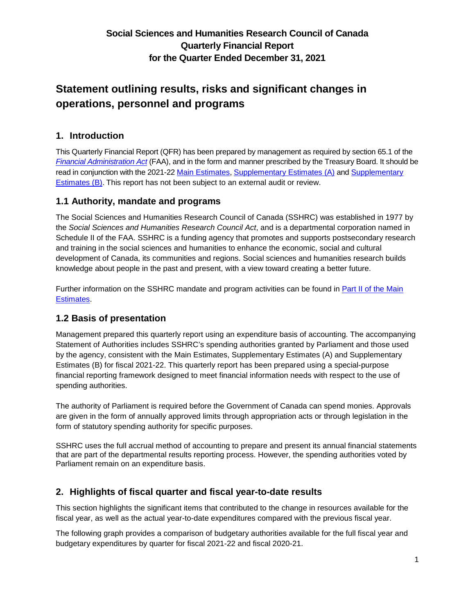# **Statement outlining results, risks and significant changes in operations, personnel and programs**

### **1. Introduction**

This Quarterly Financial Report (QFR) has been prepared by management as required by section 65.1 of the *[Financial Administration Act](https://laws-lois.justice.gc.ca/eng/acts/f-11/fulltext.html)* (FAA), and in the form and manner prescribed by the Treasury Board. It should be read in conjunction with the 2021-22 [Main Estimates,](https://www.canada.ca/en/treasury-board-secretariat/services/planned-government-spending/government-expenditure-plan-main-estimates/2021-22-estimates.html) [Supplementary Estimates \(A\)](https://www.canada.ca/en/treasury-board-secretariat/services/planned-government-spending/supplementary-estimates/supplementary-estimates-a-2021-22.html) and [Supplementary](https://www.canada.ca/en/treasury-board-secretariat/services/planned-government-spending/supplementary-estimates/supplementary-estimates-b-2021-22.html)  [Estimates \(B\).](https://www.canada.ca/en/treasury-board-secretariat/services/planned-government-spending/supplementary-estimates/supplementary-estimates-b-2021-22.html) This report has not been subject to an external audit or review.

### **1.1 Authority, mandate and programs**

The Social Sciences and Humanities Research Council of Canada (SSHRC) was established in 1977 by the *Social Sciences and Humanities Research Council Act*, and is a departmental corporation named in Schedule II of the FAA. SSHRC is a funding agency that promotes and supports postsecondary research and training in the social sciences and humanities to enhance the economic, social and cultural development of Canada, its communities and regions. Social sciences and humanities research builds knowledge about people in the past and present, with a view toward creating a better future.

Further information on the SSHRC mandate and program activities can be found in Part II of the Main [Estimates.](https://www.canada.ca/en/treasury-board-secretariat/services/planned-government-spending/government-expenditure-plan-main-estimates/2021-22-estimates.html)

### **1.2 Basis of presentation**

Management prepared this quarterly report using an expenditure basis of accounting. The accompanying Statement of Authorities includes SSHRC's spending authorities granted by Parliament and those used by the agency, consistent with the Main Estimates, Supplementary Estimates (A) and Supplementary Estimates (B) for fiscal 2021-22. This quarterly report has been prepared using a special-purpose financial reporting framework designed to meet financial information needs with respect to the use of spending authorities.

The authority of Parliament is required before the Government of Canada can spend monies. Approvals are given in the form of annually approved limits through appropriation acts or through legislation in the form of statutory spending authority for specific purposes.

SSHRC uses the full accrual method of accounting to prepare and present its annual financial statements that are part of the departmental results reporting process. However, the spending authorities voted by Parliament remain on an expenditure basis.

### **2. Highlights of fiscal quarter and fiscal year-to-date results**

This section highlights the significant items that contributed to the change in resources available for the fiscal year, as well as the actual year-to-date expenditures compared with the previous fiscal year.

The following graph provides a comparison of budgetary authorities available for the full fiscal year and budgetary expenditures by quarter for fiscal 2021-22 and fiscal 2020-21.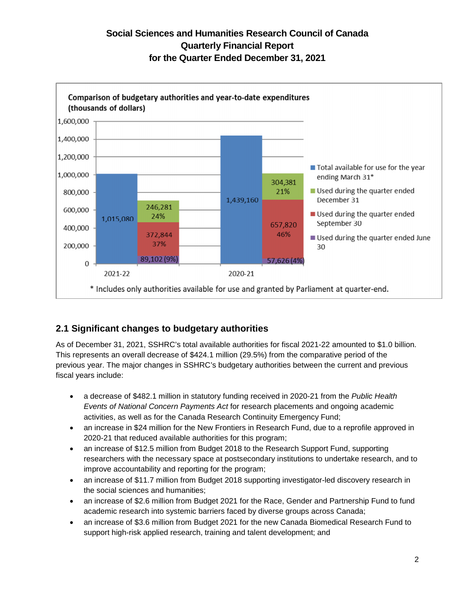

## **2.1 Significant changes to budgetary authorities**

As of December 31, 2021, SSHRC's total available authorities for fiscal 2021-22 amounted to \$1.0 billion. This represents an overall decrease of \$424.1 million (29.5%) from the comparative period of the previous year. The major changes in SSHRC's budgetary authorities between the current and previous fiscal years include:

- a decrease of \$482.1 million in statutory funding received in 2020-21 from the *Public Health Events of National Concern Payments Act* for research placements and ongoing academic activities, as well as for the Canada Research Continuity Emergency Fund;
- an increase in \$24 million for the New Frontiers in Research Fund, due to a reprofile approved in 2020-21 that reduced available authorities for this program;
- an increase of \$12.5 million from Budget 2018 to the Research Support Fund, supporting researchers with the necessary space at postsecondary institutions to undertake research, and to improve accountability and reporting for the program;
- an increase of \$11.7 million from Budget 2018 supporting investigator-led discovery research in the social sciences and humanities;
- an increase of \$2.6 million from Budget 2021 for the Race, Gender and Partnership Fund to fund academic research into systemic barriers faced by diverse groups across Canada;
- an increase of \$3.6 million from Budget 2021 for the new Canada Biomedical Research Fund to support high-risk applied research, training and talent development; and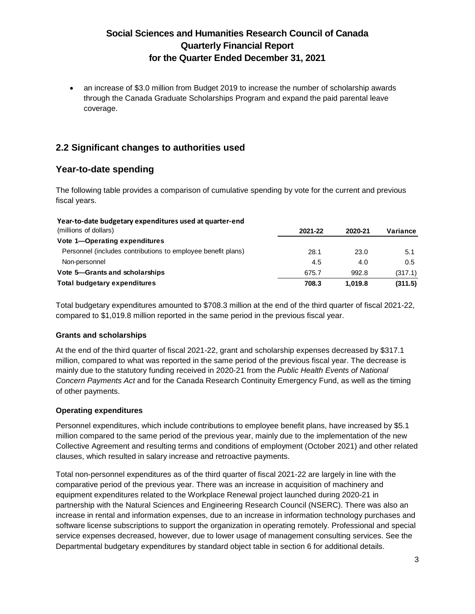an increase of \$3.0 million from Budget 2019 to increase the number of scholarship awards through the Canada Graduate Scholarships Program and expand the paid parental leave coverage.

### **2.2 Significant changes to authorities used**

### **Year-to-date spending**

The following table provides a comparison of cumulative spending by vote for the current and previous fiscal years.

#### **Year-to-date budgetary expenditures used at quarter-end**

| (millions of dollars)                                        | 2021-22 | 2020-21 | Variance |
|--------------------------------------------------------------|---------|---------|----------|
| Vote 1-Operating expenditures                                |         |         |          |
| Personnel (includes contributions to employee benefit plans) | 28.1    | 23.0    | 5.1      |
| Non-personnel                                                | 4.5     | 4.0     | 0.5      |
| Vote 5–Grants and scholarships                               | 675.7   | 992.8   | (317.1)  |
| Total budgetary expenditures                                 | 708.3   | 1.019.8 | (311.5)  |

Total budgetary expenditures amounted to \$708.3 million at the end of the third quarter of fiscal 2021-22, compared to \$1,019.8 million reported in the same period in the previous fiscal year.

#### **Grants and scholarships**

At the end of the third quarter of fiscal 2021-22, grant and scholarship expenses decreased by \$317.1 million, compared to what was reported in the same period of the previous fiscal year. The decrease is mainly due to the statutory funding received in 2020-21 from the *Public Health Events of National Concern Payments Act* and for the Canada Research Continuity Emergency Fund, as well as the timing of other payments.

#### **Operating expenditures**

Personnel expenditures, which include contributions to employee benefit plans, have increased by \$5.1 million compared to the same period of the previous year, mainly due to the implementation of the new Collective Agreement and resulting terms and conditions of employment (October 2021) and other related clauses, which resulted in salary increase and retroactive payments.

Total non-personnel expenditures as of the third quarter of fiscal 2021-22 are largely in line with the comparative period of the previous year. There was an increase in acquisition of machinery and equipment expenditures related to the Workplace Renewal project launched during 2020-21 in partnership with the Natural Sciences and Engineering Research Council (NSERC). There was also an increase in rental and information expenses, due to an increase in information technology purchases and software license subscriptions to support the organization in operating remotely. Professional and special service expenses decreased, however, due to lower usage of management consulting services. See the Departmental budgetary expenditures by standard object table in section 6 for additional details.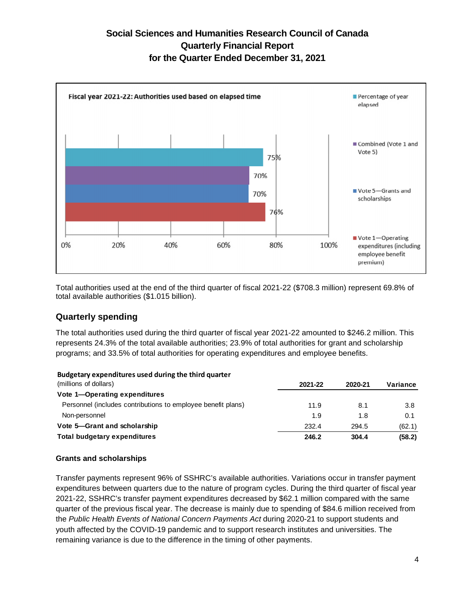

Total authorities used at the end of the third quarter of fiscal 2021-22 (\$708.3 million) represent 69.8% of total available authorities (\$1.015 billion).

### **Quarterly spending**

The total authorities used during the third quarter of fiscal year 2021-22 amounted to \$246.2 million. This represents 24.3% of the total available authorities; 23.9% of total authorities for grant and scholarship programs; and 33.5% of total authorities for operating expenditures and employee benefits.

#### **Budgetary expenditures used during the third quarter**

| (millions of dollars)                                        | 2021-22 | 2020-21 | Variance |
|--------------------------------------------------------------|---------|---------|----------|
| Vote 1-Operating expenditures                                |         |         |          |
| Personnel (includes contributions to employee benefit plans) | 11.9    | 8.1     | 3.8      |
| Non-personnel                                                | 1.9     | 1.8     | 0.1      |
| Vote 5-Grant and scholarship                                 | 232.4   | 294.5   | (62.1)   |
| Total budgetary expenditures                                 | 246.2   | 304.4   | (58.2)   |

#### **Grants and scholarships**

Transfer payments represent 96% of SSHRC's available authorities. Variations occur in transfer payment expenditures between quarters due to the nature of program cycles. During the third quarter of fiscal year 2021-22, SSHRC's transfer payment expenditures decreased by \$62.1 million compared with the same quarter of the previous fiscal year. The decrease is mainly due to spending of \$84.6 million received from the *Public Health Events of National Concern Payments Act* during 2020-21 to support students and youth affected by the COVID-19 pandemic and to support research institutes and universities. The remaining variance is due to the difference in the timing of other payments.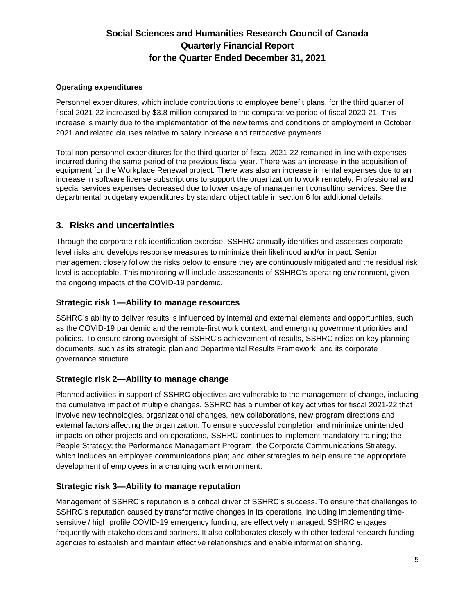#### **Operating expenditures**

Personnel expenditures, which include contributions to employee benefit plans, for the third quarter of fiscal 2021-22 increased by \$3.8 million compared to the comparative period of fiscal 2020-21. This increase is mainly due to the implementation of the new terms and conditions of employment in October 2021 and related clauses relative to salary increase and retroactive payments.

Total non-personnel expenditures for the third quarter of fiscal 2021-22 remained in line with expenses incurred during the same period of the previous fiscal year. There was an increase in the acquisition of equipment for the Workplace Renewal project. There was also an increase in rental expenses due to an increase in software license subscriptions to support the organization to work remotely. Professional and special services expenses decreased due to lower usage of management consulting services. See the departmental budgetary expenditures by standard object table in section 6 for additional details.

### **3. Risks and uncertainties**

Through the corporate risk identification exercise, SSHRC annually identifies and assesses corporatelevel risks and develops response measures to minimize their likelihood and/or impact. Senior management closely follow the risks below to ensure they are continuously mitigated and the residual risk level is acceptable. This monitoring will include assessments of SSHRC's operating environment, given the ongoing impacts of the COVID-19 pandemic.

#### **Strategic risk 1—Ability to manage resources**

SSHRC's ability to deliver results is influenced by internal and external elements and opportunities, such as the COVID-19 pandemic and the remote-first work context, and emerging government priorities and policies. To ensure strong oversight of SSHRC's achievement of results, SSHRC relies on key planning documents, such as its strategic plan and Departmental Results Framework, and its corporate governance structure.

#### **Strategic risk 2—Ability to manage change**

Planned activities in support of SSHRC objectives are vulnerable to the management of change, including the cumulative impact of multiple changes. SSHRC has a number of key activities for fiscal 2021-22 that involve new technologies, organizational changes, new collaborations, new program directions and external factors affecting the organization. To ensure successful completion and minimize unintended impacts on other projects and on operations, SSHRC continues to implement mandatory training; the People Strategy; the Performance Management Program; the Corporate Communications Strategy, which includes an employee communications plan; and other strategies to help ensure the appropriate development of employees in a changing work environment.

#### **Strategic risk 3—Ability to manage reputation**

Management of SSHRC's reputation is a critical driver of SSHRC's success. To ensure that challenges to SSHRC's reputation caused by transformative changes in its operations, including implementing timesensitive / high profile COVID-19 emergency funding, are effectively managed, SSHRC engages frequently with stakeholders and partners. It also collaborates closely with other federal research funding agencies to establish and maintain effective relationships and enable information sharing.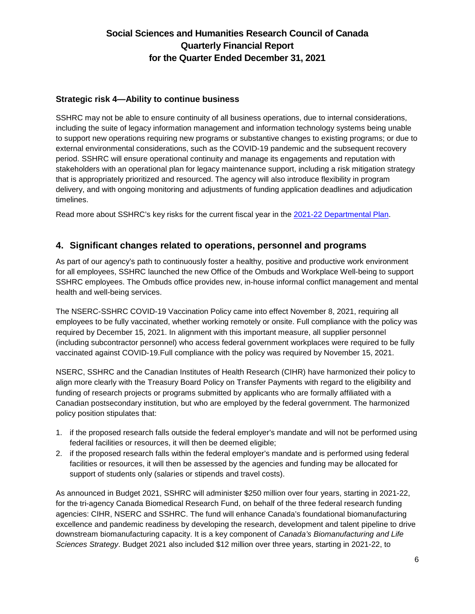#### **Strategic risk 4—Ability to continue business**

SSHRC may not be able to ensure continuity of all business operations, due to internal considerations, including the suite of legacy information management and information technology systems being unable to support new operations requiring new programs or substantive changes to existing programs; or due to external environmental considerations, such as the COVID-19 pandemic and the subsequent recovery period. SSHRC will ensure operational continuity and manage its engagements and reputation with stakeholders with an operational plan for legacy maintenance support, including a risk mitigation strategy that is appropriately prioritized and resourced. The agency will also introduce flexibility in program delivery, and with ongoing monitoring and adjustments of funding application deadlines and adjudication timelines.

Read more about SSHRC's key risks for the current fiscal year in the [2021-22 Departmental Plan.](https://www.sshrc-crsh.gc.ca/about-au_sujet/publications/dp/2021-2022/dp-eng.aspx)

### **4. Significant changes related to operations, personnel and programs**

As part of our agency's path to continuously foster a healthy, positive and productive work environment for all employees, SSHRC launched the new Office of the Ombuds and Workplace Well-being to support SSHRC employees. The Ombuds office provides new, in-house informal conflict management and mental health and well-being services.

The NSERC-SSHRC COVID-19 Vaccination Policy came into effect November 8, 2021, requiring all employees to be fully vaccinated, whether working remotely or onsite. Full compliance with the policy was required by December 15, 2021. In alignment with this important measure, all supplier personnel (including subcontractor personnel) who access federal government workplaces were required to be fully vaccinated against COVID-19.Full compliance with the policy was required by November 15, 2021.

NSERC, SSHRC and the Canadian Institutes of Health Research (CIHR) have harmonized their policy to align more clearly with the Treasury Board Policy on Transfer Payments with regard to the eligibility and funding of research projects or programs submitted by applicants who are formally affiliated with a Canadian postsecondary institution, but who are employed by the federal government. The harmonized policy position stipulates that:

- 1. if the proposed research falls outside the federal employer's mandate and will not be performed using federal facilities or resources, it will then be deemed eligible;
- 2. if the proposed research falls within the federal employer's mandate and is performed using federal facilities or resources, it will then be assessed by the agencies and funding may be allocated for support of students only (salaries or stipends and travel costs).

As announced in Budget 2021, SSHRC will administer \$250 million over four years, starting in 2021-22, for the tri-agency Canada Biomedical Research Fund, on behalf of the three federal research funding agencies: CIHR, NSERC and SSHRC. The fund will enhance Canada's foundational biomanufacturing excellence and pandemic readiness by developing the research, development and talent pipeline to drive downstream biomanufacturing capacity. It is a key component of *Canada's Biomanufacturing and Life Sciences Strategy*. Budget 2021 also included \$12 million over three years, starting in 2021-22, to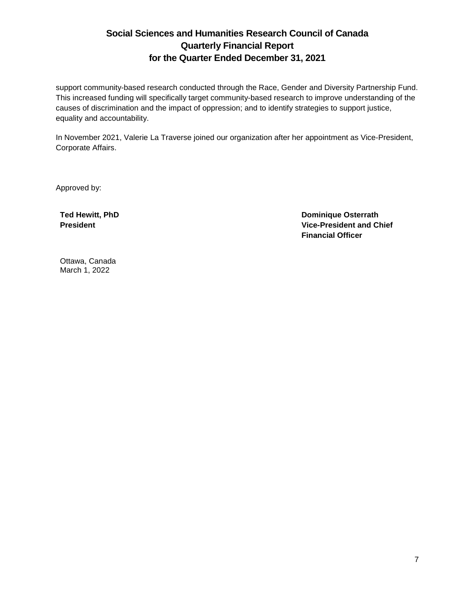support community-based research conducted through the Race, Gender and Diversity Partnership Fund. This increased funding will specifically target community-based research to improve understanding of the causes of discrimination and the impact of oppression; and to identify strategies to support justice, equality and accountability.

In November 2021, Valerie La Traverse joined our organization after her appointment as Vice-President, Corporate Affairs.

Approved by:

**Ted Hewitt, PhD President** 

**Dominique Osterrath Vice-President and Chief Financial Officer** 

Ottawa, Canada March 1, 2022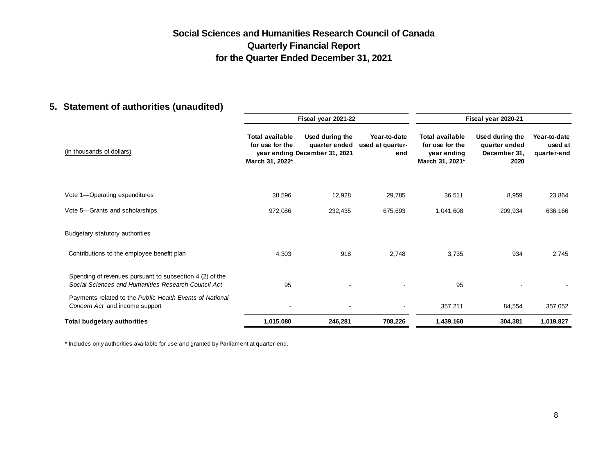## **5. Statement of authorities (unaudited)**

|                                                                                                                 | Fiscal year 2021-22                                          |                                                                   |                                         | Fiscal year 2020-21                                                         |                                                          |                                        |
|-----------------------------------------------------------------------------------------------------------------|--------------------------------------------------------------|-------------------------------------------------------------------|-----------------------------------------|-----------------------------------------------------------------------------|----------------------------------------------------------|----------------------------------------|
| (in thousands of dollars)                                                                                       | <b>Total available</b><br>for use for the<br>March 31, 2022* | Used during the<br>quarter ended<br>year ending December 31, 2021 | Year-to-date<br>used at quarter-<br>end | <b>Total available</b><br>for use for the<br>year ending<br>March 31, 2021* | Used during the<br>quarter ended<br>December 31,<br>2020 | Year-to-date<br>used at<br>quarter-end |
| Vote 1-Operating expenditures                                                                                   | 38,596                                                       | 12,928                                                            | 29,785                                  | 36,511                                                                      | 8,959                                                    | 23,864                                 |
| Vote 5-Grants and scholarships                                                                                  | 972,086                                                      | 232,435                                                           | 675,693                                 | 1,041,608                                                                   | 209,934                                                  | 636,166                                |
| Budgetary statutory authorities                                                                                 |                                                              |                                                                   |                                         |                                                                             |                                                          |                                        |
| Contributions to the employee benefit plan                                                                      | 4,303                                                        | 918                                                               | 2,748                                   | 3,735                                                                       | 934                                                      | 2,745                                  |
| Spending of revenues pursuant to subsection 4 (2) of the<br>Social Sciences and Humanities Research Council Act | 95                                                           |                                                                   |                                         | 95                                                                          |                                                          |                                        |
| Payments related to the Public Health Events of National<br>Concern Act and income support                      |                                                              |                                                                   |                                         | 357,211                                                                     | 84,554                                                   | 357,052                                |
| <b>Total budgetary authorities</b>                                                                              | 1,015,080                                                    | 246,281                                                           | 708,226                                 | 1,439,160                                                                   | 304,381                                                  | 1,019,827                              |

\* Includes only authorities available for use and granted by Parliament at quarter-end.